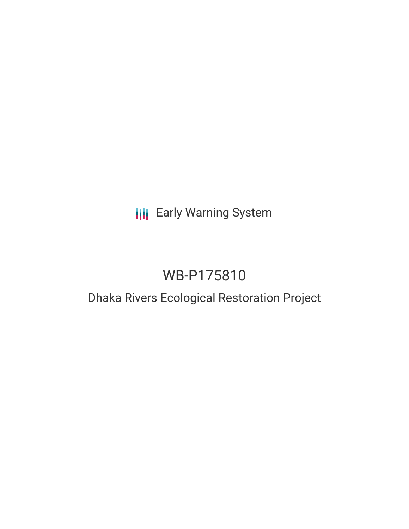# **III** Early Warning System

# WB-P175810

# Dhaka Rivers Ecological Restoration Project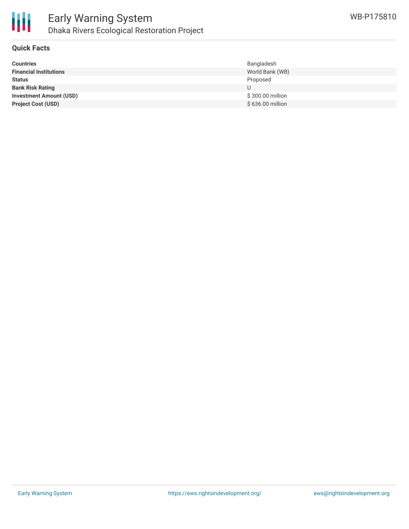

### **Quick Facts**

| <b>Countries</b>               | Bangladesh       |
|--------------------------------|------------------|
| <b>Financial Institutions</b>  | World Bank (WB)  |
| <b>Status</b>                  | Proposed         |
| <b>Bank Risk Rating</b>        | U                |
| <b>Investment Amount (USD)</b> | \$300.00 million |
| <b>Project Cost (USD)</b>      | \$636.00 million |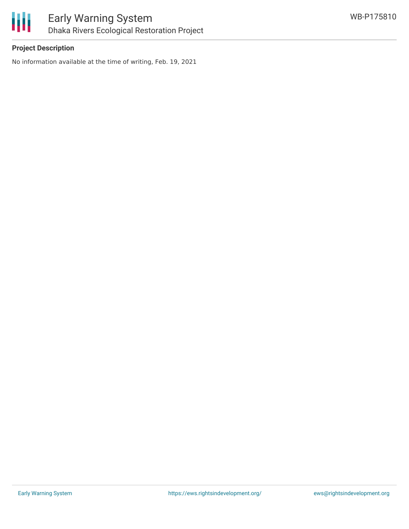

## **Project Description**

No information available at the time of writing, Feb. 19, 2021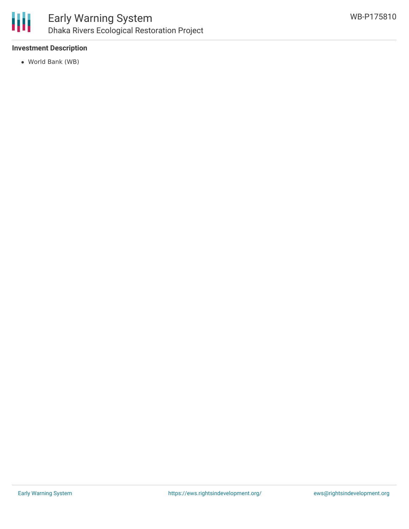

## **Investment Description**

World Bank (WB)